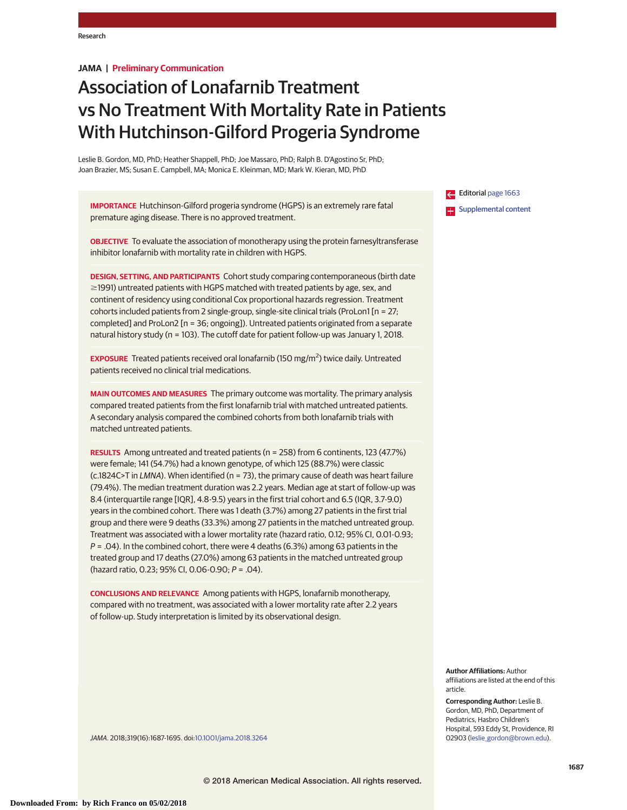# **JAMA | Preliminary Communication**

# Association of Lonafarnib Treatment vs No Treatment With Mortality Rate in Patients With Hutchinson-Gilford Progeria Syndrome

Leslie B. Gordon, MD, PhD; Heather Shappell, PhD; Joe Massaro, PhD; Ralph B. D'Agostino Sr, PhD; Joan Brazier, MS; Susan E. Campbell, MA; Monica E. Kleinman, MD; Mark W. Kieran, MD, PhD

**IMPORTANCE** Hutchinson-Gilford progeria syndrome (HGPS) is an extremely rare fatal premature aging disease. There is no approved treatment.

**OBJECTIVE** To evaluate the association of monotherapy using the protein farnesyltransferase inhibitor lonafarnib with mortality rate in children with HGPS.

**DESIGN, SETTING, AND PARTICIPANTS** Cohort study comparing contemporaneous (birth date  $\ge$ 1991) untreated patients with HGPS matched with treated patients by age, sex, and continent of residency using conditional Cox proportional hazards regression. Treatment cohorts included patients from 2 single-group, single-site clinical trials (ProLon1 [n = 27; completed] and ProLon2 [n = 36; ongoing]). Untreated patients originated from a separate natural history study (n = 103). The cutoff date for patient follow-up was January 1, 2018.

**EXPOSURE** Treated patients received oral lonafarnib (150 mg/m<sup>2</sup> ) twice daily. Untreated patients received no clinical trial medications.

**MAIN OUTCOMES AND MEASURES** The primary outcome was mortality. The primary analysis compared treated patients from the first lonafarnib trial with matched untreated patients. A secondary analysis compared the combined cohorts from both lonafarnib trials with matched untreated patients.

**RESULTS** Among untreated and treated patients (n = 258) from 6 continents, 123 (47.7%) were female; 141 (54.7%) had a known genotype, of which 125 (88.7%) were classic (c.1824C>T in LMNA). When identified (n = 73), the primary cause of death was heart failure (79.4%). The median treatment duration was 2.2 years. Median age at start of follow-up was 8.4 (interquartile range [IQR], 4.8-9.5) years in the first trial cohort and 6.5 (IQR, 3.7-9.0) years in the combined cohort. There was 1 death (3.7%) among 27 patients in the first trial group and there were 9 deaths (33.3%) among 27 patients in the matched untreated group. Treatment was associated with a lower mortality rate (hazard ratio, 0.12; 95% CI, 0.01-0.93;  $P = .04$ ). In the combined cohort, there were 4 deaths (6.3%) among 63 patients in the treated group and 17 deaths (27.0%) among 63 patients in the matched untreated group (hazard ratio, 0.23; 95% CI, 0.06-0.90; P = .04).

**CONCLUSIONS AND RELEVANCE** Among patients with HGPS, lonafarnib monotherapy, compared with no treatment, was associated with a lower mortality rate after 2.2 years of follow-up. Study interpretation is limited by its observational design.

Editorial [page 1663](https://jama.jamanetwork.com/article.aspx?doi=10.1001/jama.2018.2199&utm_campaign=articlePDF%26utm_medium=articlePDFlink%26utm_source=articlePDF%26utm_content=jama.2018.3264) **ES** [Supplemental content](https://jama.jamanetwork.com/article.aspx?doi=10.1001/jama.2018.3264&utm_campaign=articlePDF%26utm_medium=articlePDFlink%26utm_source=articlePDF%26utm_content=jama.2018.3264)

**Author Affiliations:** Author affiliations are listed at the end of this article.

**Corresponding Author:** Leslie B. Gordon, MD, PhD, Department of Pediatrics, Hasbro Children's Hospital, 593 Eddy St, Providence, RI 02903 [\(leslie\\_gordon@brown.edu\)](mailto:leslie_gordon@brown.edu).

JAMA. 2018;319(16):1687-1695. doi[:10.1001/jama.2018.3264](https://jama.jamanetwork.com/article.aspx?doi=10.1001/jama.2018.3264&utm_campaign=articlePDF%26utm_medium=articlePDFlink%26utm_source=articlePDF%26utm_content=jama.2018.3264)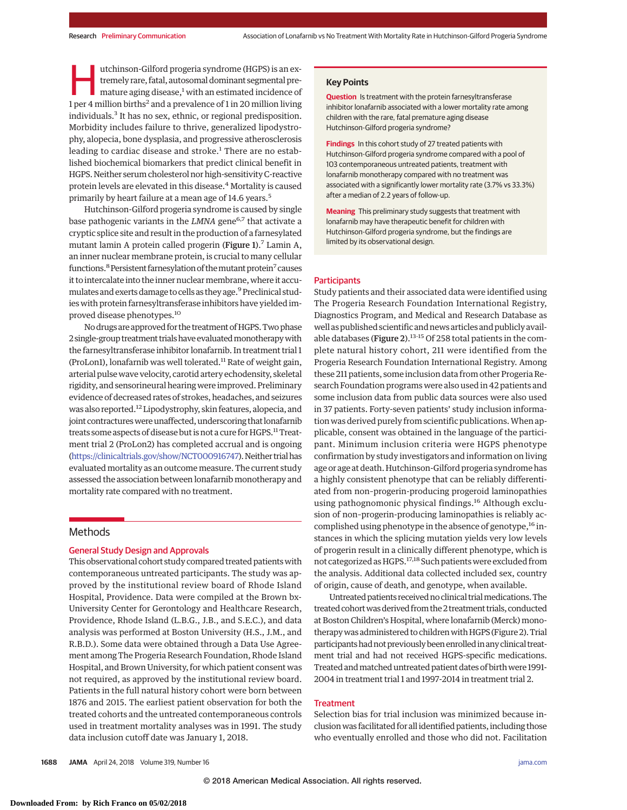utchinson-Gilford progeria syndrome (HGPS) is an ex-<br>tremely rare, fatal, autosomal dominant segmental pre-<br>mature aging disease,<sup>1</sup> with an estimated incidence of<br>1 per 4 million births<sup>2</sup> and a prevalence of 1 in 20 mill tremely rare, fatal, autosomal dominant segmental pre-1 per 4 million births<sup>2</sup> and a prevalence of 1 in 20 million living individuals.3 It has no sex, ethnic, or regional predisposition. Morbidity includes failure to thrive, generalized lipodystrophy, alopecia, bone dysplasia, and progressive atherosclerosis leading to cardiac disease and stroke.<sup>1</sup> There are no established biochemical biomarkers that predict clinical benefit in HGPS. Neither serum cholesterol nor high-sensitivity C-reactive protein levels are elevated in this disease.4 Mortality is caused primarily by heart failure at a mean age of 14.6 years.<sup>5</sup>

Hutchinson-Gilford progeria syndrome is caused by single base pathogenic variants in the *LMNA* gene<sup>6,7</sup> that activate a cryptic splice site and result in the production of a farnesylated mutant lamin A protein called progerin (Figure 1).<sup>7</sup> Lamin A, an inner nuclear membrane protein, is crucial to many cellular functions.<sup>8</sup> Persistent farnesylation of the mutant protein<sup>7</sup> causes it to intercalate into the inner nuclear membrane, where it accumulates and exerts damage to cells as they age.<sup>9</sup> Preclinical studies with protein farnesyltransferase inhibitors have yielded improved disease phenotypes.10

No drugs are approved for the treatment of HGPS. Two phase 2single-group treatment trialshave evaluatedmonotherapywith the farnesyltransferase inhibitor lonafarnib. In treatment trial 1 (ProLon1), lonafarnib was well tolerated.<sup>11</sup> Rate of weight gain, arterial pulse wave velocity, carotid artery echodensity, skeletal rigidity, and sensorineural hearing were improved. Preliminary evidence of decreased rates of strokes, headaches, and seizures was also reported.<sup>12</sup> Lipodystrophy, skin features, alopecia, and joint contractures were unaffected, underscoring that lonafarnib treats some aspects of disease but is not a cure for HGPS.<sup>11</sup> Treatment trial 2 (ProLon2) has completed accrual and is ongoing [\(https://clinicaltrials.gov/show/NCT000916747\)](https://clinicaltrials.gov/show/NCT000916747). Neither trial has evaluated mortality as an outcome measure. The current study assessed the association between lonafarnib monotherapy and mortality rate compared with no treatment.

# Methods

## General Study Design and Approvals

This observational cohort study compared treated patientswith contemporaneous untreated participants. The study was approved by the institutional review board of Rhode Island Hospital, Providence. Data were compiled at the Brown bx-University Center for Gerontology and Healthcare Research, Providence, Rhode Island (L.B.G., J.B., and S.E.C.), and data analysis was performed at Boston University (H.S., J.M., and R.B.D.). Some data were obtained through a Data Use Agreement among The Progeria Research Foundation, Rhode Island Hospital, and Brown University, for which patient consent was not required, as approved by the institutional review board. Patients in the full natural history cohort were born between 1876 and 2015. The earliest patient observation for both the treated cohorts and the untreated contemporaneous controls used in treatment mortality analyses was in 1991. The study data inclusion cutoff date was January 1, 2018.

## **Key Points**

**Question** Is treatment with the protein farnesyltransferase inhibitor lonafarnib associated with a lower mortality rate among children with the rare, fatal premature aging disease Hutchinson-Gilford progeria syndrome?

**Findings** In this cohort study of 27 treated patients with Hutchinson-Gilford progeria syndrome compared with a pool of 103 contemporaneous untreated patients, treatment with lonafarnib monotherapy compared with no treatment was associated with a significantly lower mortality rate (3.7% vs 33.3%) after a median of 2.2 years of follow-up.

**Meaning** This preliminary study suggests that treatment with lonafarnib may have therapeutic benefit for children with Hutchinson-Gilford progeria syndrome, but the findings are limited by its observational design.

#### **Participants**

Study patients and their associated data were identified using The Progeria Research Foundation International Registry, Diagnostics Program, and Medical and Research Database as well as published scientific andnews articles and publicly available databases (Figure 2).<sup>13-15</sup> Of 258 total patients in the complete natural history cohort, 211 were identified from the Progeria Research Foundation International Registry. Among these 211 patients, some inclusion data from other Progeria Research Foundation programs were also used in 42 patients and some inclusion data from public data sources were also used in 37 patients. Forty-seven patients' study inclusion information was derived purely from scientific publications.When applicable, consent was obtained in the language of the participant. Minimum inclusion criteria were HGPS phenotype confirmation by study investigators and information on living age or age at death. Hutchinson-Gilford progeria syndrome has a highly consistent phenotype that can be reliably differentiated from non–progerin-producing progeroid laminopathies using pathognomonic physical findings.<sup>16</sup> Although exclusion of non–progerin-producing laminopathies is reliably accomplished using phenotype in the absence of genotype,<sup>16</sup> instances in which the splicing mutation yields very low levels of progerin result in a clinically different phenotype, which is not categorized as HGPS.17,18 Such patientswere excluded from the analysis. Additional data collected included sex, country of origin, cause of death, and genotype, when available.

Untreated patients received no clinical trial medications. The treated cohort was derived from the 2 treatment trials, conducted at Boston Children's Hospital, where lonafarnib (Merck) monotherapy was administered to children with HGPS (Figure 2). Trial participants had not previously been enrolled in any clinical treatment trial and had not received HGPS-specific medications. Treated and matched untreated patient dates of birth were 1991-2004 in treatment trial 1 and 1997-2014 in treatment trial 2.

# **Treatment**

Selection bias for trial inclusion was minimized because inclusionwas facilitated for all identified patients, including those who eventually enrolled and those who did not. Facilitation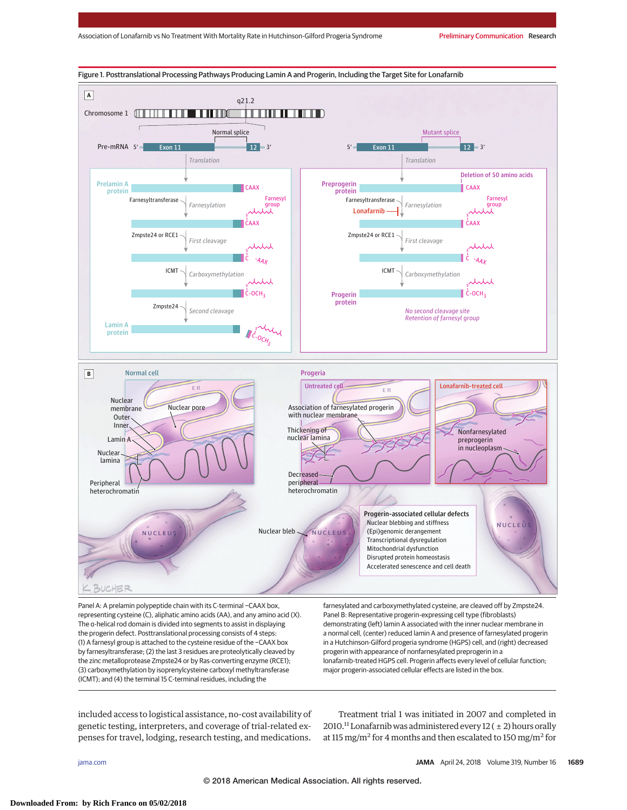

Panel A: A prelamin polypeptide chain with its C-terminal −CAAX box, representing cysteine (C), aliphatic amino acids (AA), and any amino acid (X). The α-helical rod domain is divided into segments to assist in displaying the progerin defect. Posttranslational processing consists of 4 steps: (1) A farnesyl group is attached to the cysteine residue of the −CAAX box by farnesyltransferase; (2) the last 3 residues are proteolytically cleaved by the zinc metalloprotease Zmpste24 or by Ras-converting enzyme (RCE1); (3) carboxymethylation by isoprenylcysteine carboxyl methyltransferase (ICMT); and (4) the terminal 15 C-terminal residues, including the

farnesylated and carboxymethylated cysteine, are cleaved off by Zmpste24. Panel B: Representative progerin-expressing cell type (fibroblasts) demonstrating (left) lamin A associated with the inner nuclear membrane in a normal cell, (center) reduced lamin A and presence of farnesylated progerin in a Hutchinson-Gilford progeria syndrome (HGPS) cell, and (right) decreased progerin with appearance of nonfarnesylated preprogerin in a lonafarnib-treated HGPS cell. Progerin affects every level of cellular function; major progerin-associated cellular effects are listed in the box.

included access to logistical assistance, no-cost availability of genetic testing, interpreters, and coverage of trial-related expenses for travel, lodging, research testing, and medications.

Treatment trial 1 was initiated in 2007 and completed in 2010.<sup>11</sup> Lonafarnib was administered every  $12 (+ 2)$  hours orally at 115 mg/m<sup>2</sup> for 4 months and then escalated to 150 mg/m<sup>2</sup> for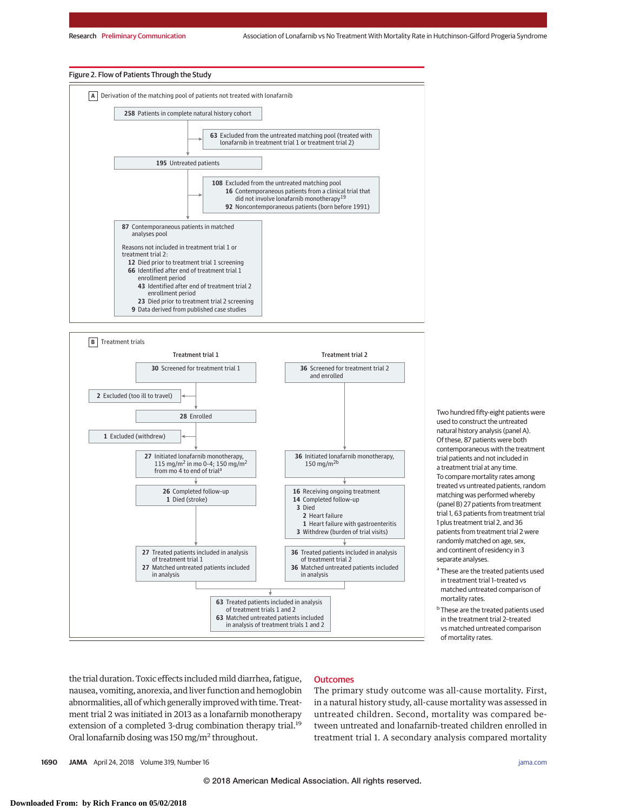#### Figure 2. Flow of Patients Through the Study





Two hundred fifty-eight patients were used to construct the untreated natural history analysis (panel A). Of these, 87 patients were both contemporaneous with the treatment trial patients and not included in a treatment trial at any time. To compare mortality rates among treated vs untreated patients, random matching was performed whereby (panel B) 27 patients from treatment trial 1, 63 patients from treatment trial 1 plus treatment trial 2, and 36 patients from treatment trial 2 were randomly matched on age, sex, and continent of residency in 3 separate analyses.

- <sup>a</sup> These are the treated patients used in treatment trial 1–treated vs matched untreated comparison of mortality rates.
- **b** These are the treated patients used in the treatment trial 2–treated vs matched untreated comparison of mortality rates.

the trial duration. Toxic effects included mild diarrhea, fatigue, nausea, vomiting, anorexia, and liver function and hemoglobin abnormalities, all of which generally improved with time. Treatment trial 2 was initiated in 2013 as a lonafarnib monotherapy extension of a completed 3-drug combination therapy trial.<sup>19</sup> Oral lonafarnib dosing was 150 mg/m2 throughout.

# **Outcomes**

The primary study outcome was all-cause mortality. First, in a natural history study, all-cause mortality was assessed in untreated children. Second, mortality was compared between untreated and lonafarnib-treated children enrolled in treatment trial 1. A secondary analysis compared mortality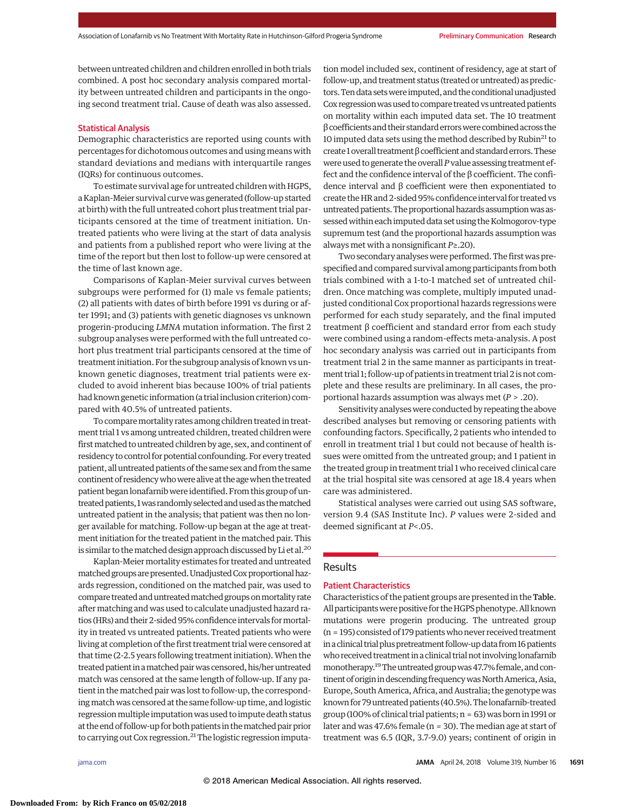between untreated children and children enrolled in both trials combined. A post hoc secondary analysis compared mortality between untreated children and participants in the ongoing second treatment trial. Cause of death was also assessed.

# Statistical Analysis

Demographic characteristics are reported using counts with percentages for dichotomous outcomes and using means with standard deviations and medians with interquartile ranges (IQRs) for continuous outcomes.

To estimate survival age for untreated children with HGPS, a Kaplan-Meier survival curvewas generated (follow-up started at birth) with the full untreated cohort plus treatment trial participants censored at the time of treatment initiation. Untreated patients who were living at the start of data analysis and patients from a published report who were living at the time of the report but then lost to follow-up were censored at the time of last known age.

Comparisons of Kaplan-Meier survival curves between subgroups were performed for (1) male vs female patients; (2) all patients with dates of birth before 1991 vs during or after 1991; and (3) patients with genetic diagnoses vs unknown progerin-producing *LMNA* mutation information. The first 2 subgroup analyses were performed with the full untreated cohort plus treatment trial participants censored at the time of treatment initiation. For the subgroup analysis of known vs unknown genetic diagnoses, treatment trial patients were excluded to avoid inherent bias because 100% of trial patients had known genetic information (a trial inclusion criterion) compared with 40.5% of untreated patients.

To compare mortality rates among children treated in treatment trial 1 vs among untreated children, treated children were first matched to untreated children by age, sex, and continent of residency to control for potential confounding. For every treated patient, all untreated patients of the same sex and from the same continent of residency who were alive at the age when the treated patient began lonafarnib were identified. From this group of untreatedpatients,1was randomlyselectedandusedas thematched untreated patient in the analysis; that patient was then no longer available for matching. Follow-up began at the age at treatment initiation for the treated patient in the matched pair. This is similar to the matched design approach discussed by Li et al.<sup>20</sup>

Kaplan-Meier mortality estimates for treated and untreated matched groups are presented. Unadjusted Cox proportional hazards regression, conditioned on the matched pair, was used to compare treated anduntreatedmatched groups onmortality rate aftermatching and was used to calculate unadjusted hazard ratios (HRs) and their 2-sided 95% confidence intervals formortality in treated vs untreated patients. Treated patients who were living at completion of the first treatment trial were censored at that time (2-2.5 years following treatment initiation). When the treated patient in a matched pair was censored, his/her untreated match was censored at the same length of follow-up. If any patient in the matched pair was lost to follow-up, the correspondingmatch was censored at the same follow-up time, and logistic regression multiple imputation was used to impute death status at the end of follow-up for both patients in thematched pair prior to carrying out Cox regression.<sup>21</sup> The logistic regression imputation model included sex, continent of residency, age at start of follow-up, and treatment status (treated or untreated) as predictors. Ten data sets were imputed, and the conditional unadjusted Cox regression was used to compare treated vs untreated patients on mortality within each imputed data set. The 10 treatment βcoefficients and their standard errorswerecombined across the 10 imputed data sets using the method described by Rubin<sup>21</sup> to create 1overall treatment βcoefficient and standard errors.These were used to generate the overall*P*value assessing treatment effect and the confidence interval of the β coefficient. The confidence interval and β coefficient were then exponentiated to create the HR and 2-sided 95% confidence interval for treated vs untreated patients. The proportional hazards assumption was assessedwithin each imputed data set using the Kolmogorov-type supremum test (and the proportional hazards assumption was always met with a nonsignificant *P*≥.20).

Two secondary analyses were performed. The first was prespecified and compared survival among participants from both trials combined with a 1-to-1 matched set of untreated children. Once matching was complete, multiply imputed unadjusted conditional Cox proportional hazards regressions were performed for each study separately, and the final imputed treatment β coefficient and standard error from each study were combined using a random-effects meta-analysis. A post hoc secondary analysis was carried out in participants from treatment trial 2 in the same manner as participants in treatment trial 1; follow-up of patients in treatment trial 2 is not complete and these results are preliminary. In all cases, the proportional hazards assumption was always met (*P* > .20).

Sensitivity analyses were conducted by repeating the above described analyses but removing or censoring patients with confounding factors. Specifically, 2 patients who intended to enroll in treatment trial 1 but could not because of health issues were omitted from the untreated group; and 1 patient in the treated group in treatment trial 1 who received clinical care at the trial hospital site was censored at age 18.4 years when care was administered.

Statistical analyses were carried out using SAS software, version 9.4 (SAS Institute Inc). *P* values were 2-sided and deemed significant at *P*<.05.

# Results

# Patient Characteristics

Characteristics of the patient groups are presented in the Table. All participants were positive for the HGPS phenotype. All known mutations were progerin producing. The untreated group  $(n = 195)$  consisted of 179 patients who never received treatment in a clinical trial plus pretreatment follow-up data from 16 patients who received treatment in a clinical trial not involving lonafarnib monotherapy.<sup>19</sup> The untreated group was 47.7% female, and continent of origin in descending frequency was North America, Asia, Europe, South America, Africa, and Australia; the genotypewas known for 79 untreated patients (40.5%). The lonafarnib-treated group (100% of clinical trial patients; n = 63) was born in 1991 or later and was 47.6% female (n = 30). The median age at start of treatment was 6.5 (IQR, 3.7-9.0) years; continent of origin in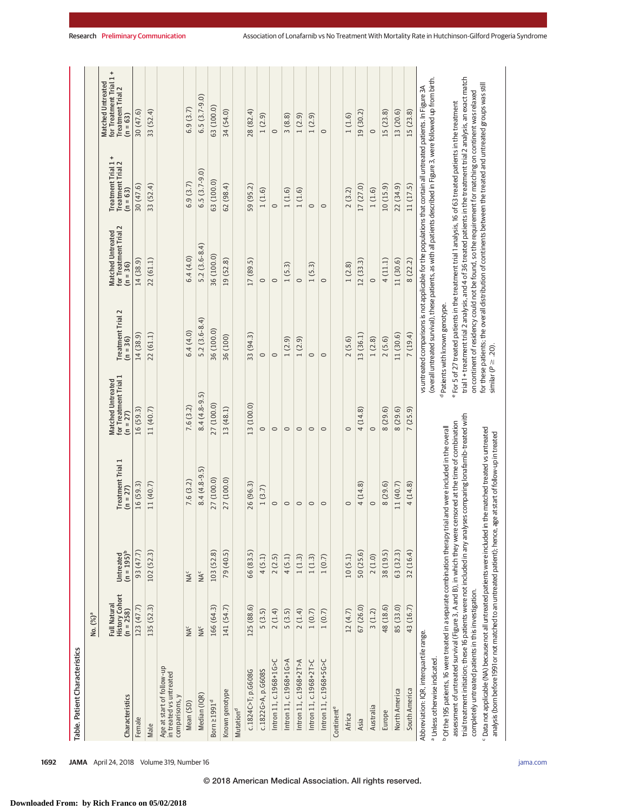| Table. Patient Characteristics                                                                                                                                                                                                                                                                                                                                                                                                                                                                                                                        |                                             |                            |                                 |                                                                 |                                            |                                                                                                                                                                                                                                                                                                                                                                                                                                                                            |                                                                      |                                                                                |
|-------------------------------------------------------------------------------------------------------------------------------------------------------------------------------------------------------------------------------------------------------------------------------------------------------------------------------------------------------------------------------------------------------------------------------------------------------------------------------------------------------------------------------------------------------|---------------------------------------------|----------------------------|---------------------------------|-----------------------------------------------------------------|--------------------------------------------|----------------------------------------------------------------------------------------------------------------------------------------------------------------------------------------------------------------------------------------------------------------------------------------------------------------------------------------------------------------------------------------------------------------------------------------------------------------------------|----------------------------------------------------------------------|--------------------------------------------------------------------------------|
|                                                                                                                                                                                                                                                                                                                                                                                                                                                                                                                                                       | No. (%) <sup>a</sup>                        |                            |                                 |                                                                 |                                            |                                                                                                                                                                                                                                                                                                                                                                                                                                                                            |                                                                      |                                                                                |
| Characteristics                                                                                                                                                                                                                                                                                                                                                                                                                                                                                                                                       | History Cohort<br>(n = 258)<br>Full Natural | Untreated<br>$(n = 195)^b$ | Treatment Trial 1<br>$(n = 27)$ | for Treatment Trial 1<br><b>Matched Untreated</b><br>$(n = 27)$ | Treatment Trial 2<br>$(n = 36)$            | for Treatment Trial 2<br>Matched Untreated<br>$(n = 36)$                                                                                                                                                                                                                                                                                                                                                                                                                   | Treatment Trial 1+<br>$\sim$<br><b>Treatment Trial</b><br>$(n = 63)$ | for Treatment Trial 1+<br>Matched Untreated<br>Treatment Trial 2<br>$(n = 63)$ |
| Female                                                                                                                                                                                                                                                                                                                                                                                                                                                                                                                                                | 123 (47.7)                                  | 93 (47.7)                  | 16(59.3)                        | 16 (59.3)                                                       | 14 (38.9)                                  | 14 (38.9)                                                                                                                                                                                                                                                                                                                                                                                                                                                                  | 30(47.6)                                                             | 30 (47.6)                                                                      |
| Male                                                                                                                                                                                                                                                                                                                                                                                                                                                                                                                                                  | 135 (52.3)                                  | 102(52.3)                  | 11 (40.7)                       | 11 (40.7)                                                       | 22 (61.1)                                  | 22 (61.1)                                                                                                                                                                                                                                                                                                                                                                                                                                                                  | 33 (52.4)                                                            | 33 (52.4)                                                                      |
| Age at start of follow-up<br>in treated vs untreated<br>comparisons, y                                                                                                                                                                                                                                                                                                                                                                                                                                                                                |                                             |                            |                                 |                                                                 |                                            |                                                                                                                                                                                                                                                                                                                                                                                                                                                                            |                                                                      |                                                                                |
| Mean(SD)                                                                                                                                                                                                                                                                                                                                                                                                                                                                                                                                              | $\mathsf{NA}^\mathsf{c}$                    | $NA^c$                     | 7.6(3.2)                        | 7.6(3.2)                                                        | 6.4(4.0)                                   | 6.4(4.0)                                                                                                                                                                                                                                                                                                                                                                                                                                                                   | 6.9(3.7)                                                             | 6.9(3.7)                                                                       |
| Median (IQR)                                                                                                                                                                                                                                                                                                                                                                                                                                                                                                                                          | NA <sup>c</sup>                             | NA <sup>c</sup>            | $8.4(4.8-9.5)$                  | $8.4(4.8-9.5)$                                                  | $5.2(3.6-8.4)$                             | $5.2(3.6-8.4)$                                                                                                                                                                                                                                                                                                                                                                                                                                                             | $6.5(3.7-9.0)$                                                       | $6.5(3.7-9.0)$                                                                 |
| Born 21991 <sup>d</sup>                                                                                                                                                                                                                                                                                                                                                                                                                                                                                                                               | 166 (64.3)                                  | 103 (52.8)                 | 27 (100.0)                      | 27 (100.0)                                                      | 36 (100.0)                                 | 36 (100.0)                                                                                                                                                                                                                                                                                                                                                                                                                                                                 | 63 (100.0)                                                           | 63 (100.0)                                                                     |
| Known genotype                                                                                                                                                                                                                                                                                                                                                                                                                                                                                                                                        | 141 (54.7)                                  | 79 (40.5)                  | 27 (100.0)                      | 13 (48.1)                                                       | 36 (100)                                   | 19 (52.8)                                                                                                                                                                                                                                                                                                                                                                                                                                                                  | 62(98.4)                                                             | 34 (54.0)                                                                      |
| Mutation <sup>d</sup>                                                                                                                                                                                                                                                                                                                                                                                                                                                                                                                                 |                                             |                            |                                 |                                                                 |                                            |                                                                                                                                                                                                                                                                                                                                                                                                                                                                            |                                                                      |                                                                                |
| c.1824C>T; p.G608G                                                                                                                                                                                                                                                                                                                                                                                                                                                                                                                                    | 125 (88.6)                                  | 66 (83.5)                  | 26 (96.3)                       | 13 (100.0)                                                      | 33 (94.3)                                  | 17 (89.5)                                                                                                                                                                                                                                                                                                                                                                                                                                                                  | 59 (95.2)                                                            | 28 (82.4)                                                                      |
| c.1822G>A, p.G608S                                                                                                                                                                                                                                                                                                                                                                                                                                                                                                                                    | 5(3.5)                                      | 4(5.1)                     | 1(3.7)                          | $\circ$                                                         | $\circ$                                    | $\circ$                                                                                                                                                                                                                                                                                                                                                                                                                                                                    | 1(1.6)                                                               | 1(2.9)                                                                         |
| Intron 11, c.1968+1G>C                                                                                                                                                                                                                                                                                                                                                                                                                                                                                                                                | 2(1.4)                                      | 2(2.5)                     | $\circ$                         | $\circ$                                                         | $\circ$                                    | $\circ$                                                                                                                                                                                                                                                                                                                                                                                                                                                                    | $\circ$                                                              | $\circ$                                                                        |
| Intron 11, c.1968+1G>A                                                                                                                                                                                                                                                                                                                                                                                                                                                                                                                                | 5(3.5)                                      | 4(5.1)                     | $\circ$                         | $\circ$                                                         | 1(2.9)                                     | 1(5.3)                                                                                                                                                                                                                                                                                                                                                                                                                                                                     | 1(1.6)                                                               | 3(8.8)                                                                         |
| Intron 11, c.1968+2T>A                                                                                                                                                                                                                                                                                                                                                                                                                                                                                                                                | 2(1.4)                                      | 1(1.3)                     | $\circ$                         | $\circ$                                                         | 1(2.9)                                     | $\circ$                                                                                                                                                                                                                                                                                                                                                                                                                                                                    | 1(1.6)                                                               | 1(2.9)                                                                         |
| Intron 11, c.1968+2T>C                                                                                                                                                                                                                                                                                                                                                                                                                                                                                                                                | 1(0.7)                                      | 1(1.3)                     | $\circ$                         | $\circ$                                                         | $\circ$                                    | 1(5.3)                                                                                                                                                                                                                                                                                                                                                                                                                                                                     | $\circ$                                                              | 1(2.9)                                                                         |
| Intron 11, c.1968+5G>C                                                                                                                                                                                                                                                                                                                                                                                                                                                                                                                                | 1(0.7)                                      | 1(0.7)                     | $\circ$                         | $\circ$                                                         | $\circ$                                    | $\circ$                                                                                                                                                                                                                                                                                                                                                                                                                                                                    | $\circ$                                                              | $\circ$                                                                        |
| Continente                                                                                                                                                                                                                                                                                                                                                                                                                                                                                                                                            |                                             |                            |                                 |                                                                 |                                            |                                                                                                                                                                                                                                                                                                                                                                                                                                                                            |                                                                      |                                                                                |
| Africa                                                                                                                                                                                                                                                                                                                                                                                                                                                                                                                                                | 12(4.7)                                     | 10(5.1)                    | $\circ$                         | $\circ$                                                         | 2(5.6)                                     | 1(2.8)                                                                                                                                                                                                                                                                                                                                                                                                                                                                     | 2(3.2)                                                               | 1(1.6)                                                                         |
| Asia                                                                                                                                                                                                                                                                                                                                                                                                                                                                                                                                                  | 67 (26.0)                                   | 50 (25.6)                  | 4(14.8)                         | 4(14.8)                                                         | 13 (36.1)                                  | 12(33.3)                                                                                                                                                                                                                                                                                                                                                                                                                                                                   | 17 (27.0)                                                            | 19 (30.2)                                                                      |
| Australia                                                                                                                                                                                                                                                                                                                                                                                                                                                                                                                                             | 3(1.2)                                      | 2(1.0)                     | $\circ$                         | $\circ$                                                         | 1(2.8)                                     | $\circ$                                                                                                                                                                                                                                                                                                                                                                                                                                                                    | 1(1.6)                                                               | $\circ$                                                                        |
| Europe                                                                                                                                                                                                                                                                                                                                                                                                                                                                                                                                                | 48 (18.6)                                   | 38 (19.5)                  | 8(29.6)                         | 8 (29.6)                                                        | 2(5.6)                                     | 4(11.1)                                                                                                                                                                                                                                                                                                                                                                                                                                                                    | 10(15.9)                                                             | 15 (23.8)                                                                      |
| North America                                                                                                                                                                                                                                                                                                                                                                                                                                                                                                                                         | 85 (33.0)                                   | 63(32.3)                   | 11 (40.7)                       | 8 (29.6)                                                        | 11 (30.6)                                  | 11(30.6)                                                                                                                                                                                                                                                                                                                                                                                                                                                                   | 22(34.9)                                                             | 13 (20.6)                                                                      |
| South America                                                                                                                                                                                                                                                                                                                                                                                                                                                                                                                                         | 43 (16.7)                                   | 32(16.4)                   | 4(14.8)                         | (25.9)<br>$\overline{ }$                                        | 7(19.4)                                    | 8(22.2)                                                                                                                                                                                                                                                                                                                                                                                                                                                                    | 11(17.5)                                                             | 15 (23.8)                                                                      |
| Abbreviation: IQR, interquartile range.<br>a Unless otherwise indicated                                                                                                                                                                                                                                                                                                                                                                                                                                                                               |                                             |                            |                                 |                                                                 |                                            | (overall untreated survival), these patients, as with all patients described in Figure 3, were followed up from birth.<br>vs untreated comparisons is not applicable for the populations that contain all untreated patients. In Figure 3A                                                                                                                                                                                                                                 |                                                                      |                                                                                |
| trial treatment initiation; these 16 patients were not included in any analyses comparing lonafarnib-treated with<br>assessment of untreated survival (Figure 3, A and B), in which they were censored at the time of combination<br><sup>b</sup> Of the 195 patients, 16 were treated in a separate combination therapy trial and were included in the overall<br><sup>c</sup> Data not applicable (NA) because not all untreated patients were included in the matched treated vs untreated<br>completely untreated patients in this investigation. |                                             |                            |                                 |                                                                 | <sup>d</sup> Patients with known genotype. | trial 1 + treatment trial 2 analysis, and 4 of 36 treated patients in the treatment trial 2 analysis, an exact match<br>for these patients; the overall distribution of continents between the treated and untreated groups was still<br>on continent of residency could not be found, so the requirement for matching on continent was relaxed<br><sup>e</sup> For 5 of 27 treated patients in the treatment trial 1 analysis, 16 of 63 treated patients in the treatment |                                                                      |                                                                                |
| analysis (born before 1991 or not matched to an untreated patient); hence, age at start of follow-up in treated                                                                                                                                                                                                                                                                                                                                                                                                                                       |                                             |                            |                                 | similar ( $P \ge 20$ )                                          |                                            |                                                                                                                                                                                                                                                                                                                                                                                                                                                                            |                                                                      |                                                                                |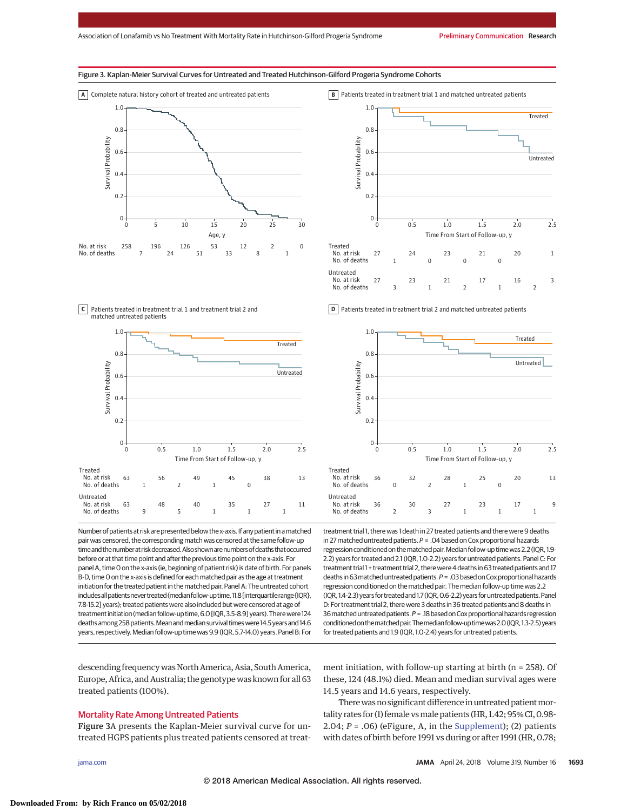# Figure 3. Kaplan-Meier Survival Curves for Untreated and Treated Hutchinson-Gilford Progeria Syndrome Cohorts



Patients treated in treatment trial 1 and treatment trial 2 and **C** matched untreated patients



Number of patients at risk are presented below the x-axis. If any patient in a matched pair was censored, the corresponding match was censored at the same follow-up time and the number at risk decreased. Also shown are numbers of deaths that occurred before or at that time point and after the previous time point on the x-axis. For panel A, time 0 on the x-axis (ie, beginning of patient risk) is date of birth. For panels B-D, time 0 on the x-axis is defined for each matched pair as the age at treatment initiation for the treated patient in the matched pair. Panel A: The untreated cohort includes all patients never treated (median follow-up time, 11.8 [interquartile range {IOR}, 7.8-15.2] years); treated patients were also included but were censored at age of treatmentinitiation (median follow-up time,6.0 [IQR, 3.5-8.9]years). Therewere 124 deaths among 258 patients. Mean and median survival times were 14.5 years and 14.6 years, respectively. Median follow-up time was 9.9 (IQR, 5.7-14.0) years. Panel B: For

descending frequencywas North America, Asia, South America, Europe, Africa, and Australia; the genotypewas known for all 63 treated patients (100%).

# Mortality Rate Among Untreated Patients

Figure 3A presents the Kaplan-Meier survival curve for untreated HGPS patients plus treated patients censored at treat-



**D** Patients treated in treatment trial 2 and matched untreated patients



treatment trial 1, there was 1 death in 27 treated patients and there were 9 deaths in 27 matched untreated patients.  $P = .04$  based on Cox proportional hazards regression conditioned on the matched pair. Median follow-up time was 2.2 (IQR, 1.9-2.2) years for treated and 2.1 (IQR, 1.0-2.2) years for untreated patients. Panel C: For treatment trial 1 + treatment trial 2, there were 4 deaths in 63 treated patients and 17 deaths in 63 matched untreated patients. P = .03 based on Cox proportional hazards regression conditioned on the matched pair. The median follow-up time was 2.2 (IQR, 1.4-2.3) years for treated and 1.7 (IQR, 0.6-2.2) years for untreated patients. Panel D: For treatment trial 2, there were 3 deaths in 36 treated patients and 8 deaths in 36 matched untreated patients.  $P = 0.18$  based on Cox proportional hazards regression conditionedonthematchedpair.Themedian follow-uptimewas2.0 (IQR, 1.3-2.5)years for treated patients and 1.9 (IQR, 1.0-2.4) years for untreated patients.

ment initiation, with follow-up starting at birth (n = 258). Of these, 124 (48.1%) died. Mean and median survival ages were 14.5 years and 14.6 years, respectively.

There was no significant difference in untreated patient mortality rates for (1) female vs male patients (HR, 1.42; 95% CI, 0.98-2.04;  $P = .06$ ) (eFigure, A, in the [Supplement\)](https://jama.jamanetwork.com/article.aspx?doi=10.1001/jama.2018.3264&utm_campaign=articlePDF%26utm_medium=articlePDFlink%26utm_source=articlePDF%26utm_content=jama.2018.3264); (2) patients with dates of birth before 1991 vs during or after 1991 (HR, 0.78;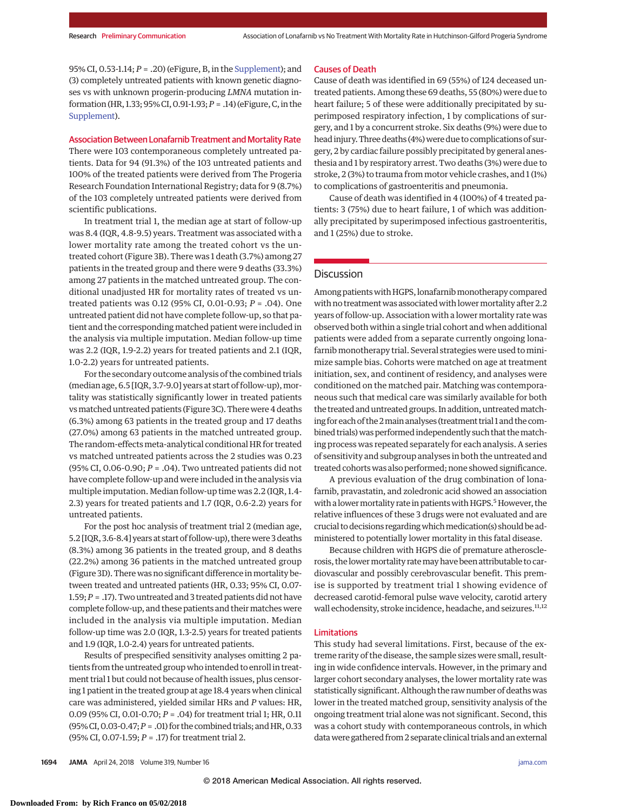95% CI, 0.53-1.14; *P* = .20) (eFigure, B, in the [Supplement\)](https://jama.jamanetwork.com/article.aspx?doi=10.1001/jama.2018.3264&utm_campaign=articlePDF%26utm_medium=articlePDFlink%26utm_source=articlePDF%26utm_content=jama.2018.3264); and (3) completely untreated patients with known genetic diagnoses vs with unknown progerin-producing *LMNA* mutation information (HR, 1.33; 95% CI, 0.91-1.93;*P* = .14) (eFigure, C, in the [Supplement\)](https://jama.jamanetwork.com/article.aspx?doi=10.1001/jama.2018.3264&utm_campaign=articlePDF%26utm_medium=articlePDFlink%26utm_source=articlePDF%26utm_content=jama.2018.3264).

#### Association Between Lonafarnib Treatment and Mortality Rate

There were 103 contemporaneous completely untreated patients. Data for 94 (91.3%) of the 103 untreated patients and 100% of the treated patients were derived from The Progeria Research Foundation International Registry; data for 9 (8.7%) of the 103 completely untreated patients were derived from scientific publications.

In treatment trial 1, the median age at start of follow-up was 8.4 (IQR, 4.8-9.5) years. Treatment was associated with a lower mortality rate among the treated cohort vs the untreated cohort (Figure 3B). There was 1 death (3.7%) among 27 patients in the treated group and there were 9 deaths (33.3%) among 27 patients in the matched untreated group. The conditional unadjusted HR for mortality rates of treated vs untreated patients was 0.12 (95% CI, 0.01-0.93; *P* = .04). One untreated patient did not have complete follow-up, so that patient and the corresponding matched patient were included in the analysis via multiple imputation. Median follow-up time was 2.2 (IQR, 1.9-2.2) years for treated patients and 2.1 (IQR, 1.0-2.2) years for untreated patients.

For the secondary outcome analysis of the combined trials (median age, 6.5 [IQR, 3.7-9.0] years at start of follow-up),mortality was statistically significantly lower in treated patients vsmatched untreated patients (Figure 3C). There were 4 deaths (6.3%) among 63 patients in the treated group and 17 deaths (27.0%) among 63 patients in the matched untreated group. The random-effects meta-analytical conditional HR for treated vs matched untreated patients across the 2 studies was 0.23 (95% CI, 0.06-0.90; *P* = .04). Two untreated patients did not have complete follow-up and were included in the analysis via multiple imputation. Median follow-up time was 2.2 (IQR, 1.4- 2.3) years for treated patients and 1.7 (IQR, 0.6-2.2) years for untreated patients.

For the post hoc analysis of treatment trial 2 (median age, 5.2 [IQR, 3.6-8.4] years at start of follow-up), therewere 3 deaths (8.3%) among 36 patients in the treated group, and 8 deaths (22.2%) among 36 patients in the matched untreated group (Figure 3D). There was no significant difference in mortality between treated and untreated patients (HR, 0.33; 95% CI, 0.07- 1.59;*P* = .17). Two untreated and 3 treated patients did not have complete follow-up, and these patients and their matches were included in the analysis via multiple imputation. Median follow-up time was 2.0 (IQR, 1.3-2.5) years for treated patients and 1.9 (IQR, 1.0-2.4) years for untreated patients.

Results of prespecified sensitivity analyses omitting 2 patients from the untreated group who intended to enroll in treatment trial 1 but could not because of health issues, plus censoring 1 patient in the treated group at age 18.4 years when clinical care was administered, yielded similar HRs and *P* values: HR, 0.09 (95% CI, 0.01-0.70; *P* = .04) for treatment trial 1; HR, 0.11 (95%CI,0.03-0.47;*P* = .01) for the combined trials; and HR,0.33 (95% CI, 0.07-1.59; *P* = .17) for treatment trial 2.

Cause of death was identified in 69 (55%) of 124 deceased untreated patients. Among these 69 deaths, 55 (80%) were due to heart failure; 5 of these were additionally precipitated by superimposed respiratory infection, 1 by complications of surgery, and 1 by a concurrent stroke. Six deaths (9%) were due to head injury. Three deaths (4%) were due to complications of surgery, 2 by cardiac failure possibly precipitated by general anesthesia and 1 by respiratory arrest. Two deaths (3%) were due to stroke, 2 (3%) to trauma from motor vehicle crashes, and 1 (1%) to complications of gastroenteritis and pneumonia.

Cause of death was identified in 4 (100%) of 4 treated patients: 3 (75%) due to heart failure, 1 of which was additionally precipitated by superimposed infectious gastroenteritis, and 1 (25%) due to stroke.

# **Discussion**

Among patients with HGPS, lonafarnib monotherapy compared with no treatment was associated with lower mortality after 2.2 years of follow-up. Association with a lower mortality rate was observed both within a single trial cohort and when additional patients were added from a separate currently ongoing lonafarnib monotherapy trial. Several strategies were used to minimize sample bias. Cohorts were matched on age at treatment initiation, sex, and continent of residency, and analyses were conditioned on the matched pair. Matching was contemporaneous such that medical care was similarly available for both the treated and untreated groups. In addition, untreated matching for each of the 2main analyses (treatment trial 1 and the combined trials) was performed independently such that the matching process was repeated separately for each analysis. A series of sensitivity and subgroup analyses in both the untreated and treated cohorts was also performed; none showed significance.

A previous evaluation of the drug combination of lonafarnib, pravastatin, and zoledronic acid showed an association with a lower mortality rate in patients with HGPS.<sup>5</sup> However, the relative influences of these 3 drugs were not evaluated and are crucial to decisions regarding which medication(s) should be administered to potentially lower mortality in this fatal disease.

Because children with HGPS die of premature atherosclerosis, the lowermortality ratemay have been attributable to cardiovascular and possibly cerebrovascular benefit. This premise is supported by treatment trial 1 showing evidence of decreased carotid-femoral pulse wave velocity, carotid artery wall echodensity, stroke incidence, headache, and seizures.<sup>11,12</sup>

# Limitations

This study had several limitations. First, because of the extreme rarity of the disease, the sample sizes were small, resulting in wide confidence intervals. However, in the primary and larger cohort secondary analyses, the lower mortality rate was statistically significant. Although the raw number of deathswas lower in the treated matched group, sensitivity analysis of the ongoing treatment trial alone was not significant. Second, this was a cohort study with contemporaneous controls, in which datawere gathered from 2 separate clinical trials and an external